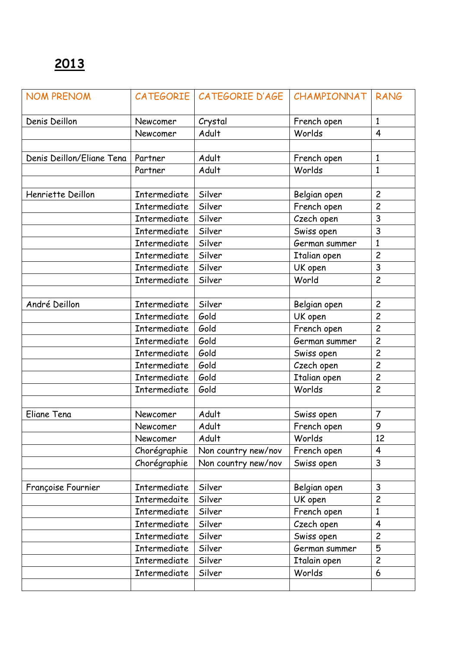| <b>NOM PRENOM</b>         |                     | CATEGORIE   CATEGORIE D'AGE | CHAMPIONNAT   | <b>RANG</b>    |
|---------------------------|---------------------|-----------------------------|---------------|----------------|
| Denis Deillon             | Newcomer            | Crystal                     | French open   | $\mathbf{1}$   |
|                           | Newcomer            | Adult                       | Worlds        | $\overline{4}$ |
|                           |                     |                             |               |                |
| Denis Deillon/Eliane Tena | Partner             | Adult                       | French open   | $\mathbf{1}$   |
|                           | Partner             | Adult                       | Worlds        | $\mathbf{1}$   |
|                           |                     |                             |               |                |
| Henriette Deillon         | <b>Intermediate</b> | Silver                      | Belgian open  | $\overline{c}$ |
|                           | Intermediate        | Silver                      | French open   | $\overline{c}$ |
|                           | Intermediate        | Silver                      | Czech open    | 3              |
|                           | Intermediate        | Silver                      | Swiss open    | 3              |
|                           | Intermediate        | Silver                      | German summer | $\mathbf{1}$   |
|                           | Intermediate        | Silver                      | Italian open  | $\overline{c}$ |
|                           | Intermediate        | Silver                      | UK open       | 3              |
|                           | Intermediate        | Silver                      | World         | $\overline{c}$ |
|                           |                     |                             |               |                |
| André Deillon             | Intermediate        | Silver                      | Belgian open  | $\overline{c}$ |
|                           | Intermediate        | Gold                        | UK open       | $\overline{c}$ |
|                           | Intermediate        | Gold                        | French open   | $\overline{c}$ |
|                           | Intermediate        | Gold                        | German summer | $\overline{c}$ |
|                           | <b>Intermediate</b> | Gold                        | Swiss open    | $\overline{c}$ |
|                           | Intermediate        | Gold                        | Czech open    | $\overline{c}$ |
|                           | Intermediate        | Gold                        | Italian open  | $\overline{c}$ |
|                           | Intermediate        | Gold                        | Worlds        | $\overline{c}$ |
|                           |                     |                             |               |                |
| Eliane Tena               | Newcomer            | Adult                       | Swiss open    | $\overline{7}$ |
|                           | Newcomer            | Adult                       | French open   | 9              |
|                           | Newcomer            | Adult                       | Worlds        | 12             |
|                           | Chorégraphie        | Non country new/nov         | French open   | $\overline{4}$ |
|                           | Chorégraphie        | Non country new/nov         | Swiss open    | $\mathsf{3}$   |
|                           |                     |                             |               |                |
| Françoise Fournier        | <b>Intermediate</b> | Silver                      | Belgian open  | 3              |
|                           | Intermedaite        | Silver                      | UK open       | $\overline{c}$ |
|                           | Intermediate        | Silver                      | French open   | $\mathbf{1}$   |
|                           | Intermediate        | Silver                      | Czech open    | $\overline{4}$ |
|                           | Intermediate        | Silver                      | Swiss open    | $\overline{c}$ |
|                           | <b>Intermediate</b> | Silver                      | German summer | 5              |
|                           | Intermediate        | Silver                      | Italain open  | $\overline{c}$ |
|                           | Intermediate        | Silver                      | Worlds        | 6              |
|                           |                     |                             |               |                |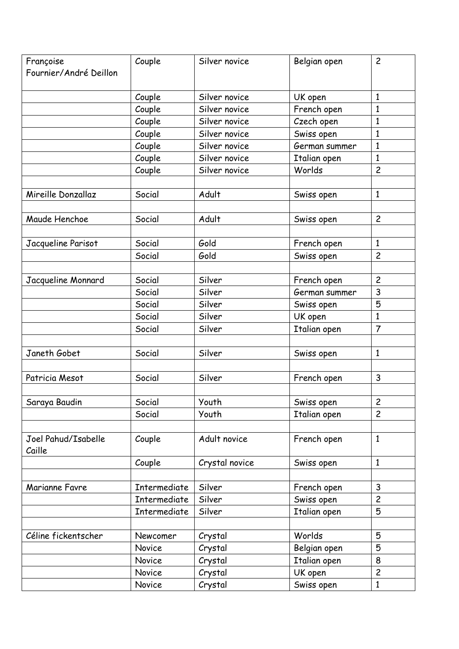| Françoise              | Couple              | Silver novice  | Belgian open  | $\overline{c}$ |
|------------------------|---------------------|----------------|---------------|----------------|
| Fournier/André Deillon |                     |                |               |                |
|                        |                     |                |               |                |
|                        | Couple              | Silver novice  | UK open       | 1              |
|                        | Couple              | Silver novice  | French open   | $\mathbf{1}$   |
|                        | Couple              | Silver novice  | Czech open    | 1              |
|                        | Couple              | Silver novice  | Swiss open    | 1              |
|                        | Couple              | Silver novice  | German summer | $\mathbf{1}$   |
|                        | Couple              | Silver novice  | Italian open  | $\mathbf{1}$   |
|                        | Couple              | Silver novice  | Worlds        | $\overline{c}$ |
|                        |                     |                |               |                |
| Mireille Donzallaz     | Social              | Adult          | Swiss open    | $\mathbf{1}$   |
|                        |                     |                |               |                |
| Maude Henchoe          | Social              | Adult          | Swiss open    | $\overline{c}$ |
|                        |                     |                |               |                |
| Jacqueline Parisot     | Social              | Gold           | French open   | $\mathbf{1}$   |
|                        | Social              | Gold           | Swiss open    | $\overline{c}$ |
|                        |                     |                |               |                |
| Jacqueline Monnard     | Social              | Silver         | French open   | $\overline{c}$ |
|                        | Social              | Silver         | German summer | 3              |
|                        | Social              | Silver         | Swiss open    | 5              |
|                        | Social              | Silver         | UK open       | $\mathbf{1}$   |
|                        | Social              | Silver         | Italian open  | $\overline{7}$ |
|                        |                     |                |               |                |
| Janeth Gobet           | Social              | Silver         | Swiss open    | $\mathbf{1}$   |
|                        |                     |                |               |                |
| Patricia Mesot         | Social              | Silver         | French open   | $\overline{3}$ |
|                        |                     |                |               |                |
| Saraya Baudin          | Social              | Youth          | Swiss open    | $\overline{c}$ |
|                        | Social              | Youth          | Italian open  | $\overline{c}$ |
|                        |                     |                |               |                |
| Joel Pahud/Isabelle    | Couple              | Adult novice   | French open   | $\mathbf{1}$   |
| Caille                 |                     |                |               |                |
|                        | Couple              | Crystal novice | Swiss open    | $\mathbf{1}$   |
|                        |                     |                |               |                |
| Marianne Favre         | <b>Intermediate</b> | Silver         | French open   | 3              |
|                        | <b>Intermediate</b> | Silver         | Swiss open    | $\overline{c}$ |
|                        | Intermediate        | Silver         | Italian open  | 5              |
|                        |                     |                |               |                |
| Céline fickentscher    | Newcomer            | Crystal        | Worlds        | 5              |
|                        | Novice              | Crystal        | Belgian open  | 5              |
|                        | Novice              | Crystal        | Italian open  | 8              |
|                        | Novice              | Crystal        | UK open       | $\overline{c}$ |
|                        | Novice              | Crystal        | Swiss open    | $\mathbf{1}$   |
|                        |                     |                |               |                |